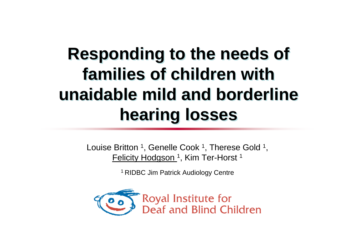#### **Responding to the needs of families of children with unaidable mild and borderline hearing losses**

Louise Britton <sup>1</sup>, Genelle Cook <sup>1</sup>, Therese Gold <sup>1</sup>, Felicity Hodgson<sup>1</sup>, Kim Ter-Horst<sup>1</sup>

1 RIDBC Jim Patrick Audiology Centre

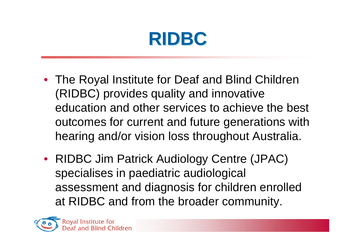### **RIDBC**

- The Royal Institute for Deaf and Blind Children (RIDBC) provides quality and innovative education and other services to achieve the best outcomes for current and future generations with hearing and/or vision loss throughout Australia.
- RIDBC Jim Patrick Audiology Centre (JPAC) specialises in paediatric audiological assessment and diagnosis for children enrolled at RIDBC and from the broader community.

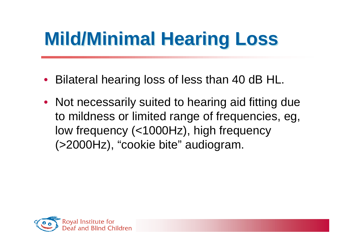# **Mild/Minimal Hearing Loss**

- Bilateral hearing loss of less than 40 dB HL.
- Not necessarily suited to hearing aid fitting due to mildness or limited range of frequencies, eg, low frequency (<1000Hz), high frequency (>2000Hz), "cookie bite" audiogram.

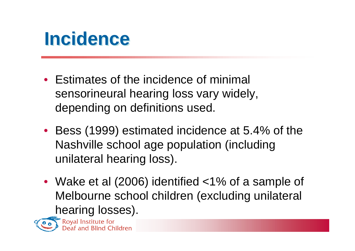#### **Incidence**

- Estimates of the incidence of minimal sensorineural hearing loss vary widely, depending on definitions used.
- Bess (1999) estimated incidence at 5.4% of the Nashville school age population (including unilateral hearing loss).
- Wake et al (2006) identified <1% of a sample of Melbourne school children (excluding unilateral **hearing losses).**<br> **F** Royal Institute for<br> **P** Deaf and Blind Children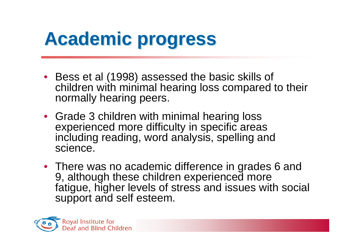# **Academic progress**

- Bess et al (1998) assessed the basic skills of children with minimal hearing loss compared to their normally hearing peers.
- Grade 3 children with minimal hearing loss experienced more difficulty in specific areas including reading, word analysis, spelling and science.
- There was no academic difference in grades 6 and 9, although these children experienced more fatigue, higher levels of stress and issues with social support and self esteem.

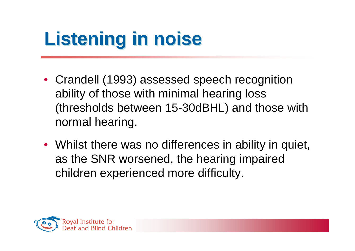# **Listening in noise**

- Crandell (1993) assessed speech recognition ability of those with minimal hearing loss (thresholds between 15-30dBHL) and those with normal hearing.
- Whilst there was no differences in ability in quiet, as the SNR worsened, the hearing impaired children experienced more difficulty.

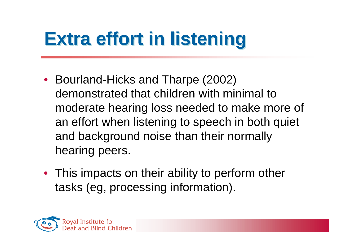# **Extra effort in listening**

- Bourland-Hicks and Tharpe (2002) demonstrated that children with minimal to moderate hearing loss needed to make more of an effort when listening to speech in both quiet and background noise than their normally hearing peers.
- This impacts on their ability to perform other tasks (eg, processing information).

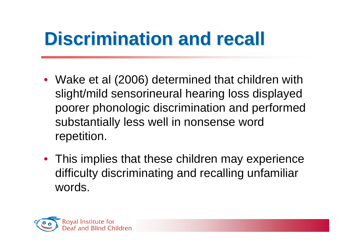# **Discrimination and recall**

- Wake et al (2006) determined that children with slight/mild sensorineural hearing loss displayed poorer phonologic discrimination and performed substantially less well in nonsense word repetition.
- This implies that these children may experience difficulty discriminating and recalling unfamiliar words.

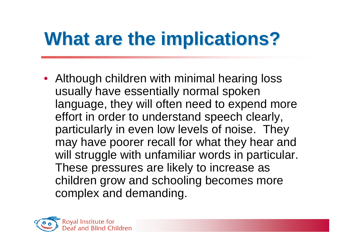# **What are the implications?**

• Although children with minimal hearing loss usually have essentially normal spoken language, they will often need to expend more effort in order to understand speech clearly, particularly in even low levels of noise. They may have poorer recall for what they hear and will struggle with unfamiliar words in particular. These pressures are likely to increase as children grow and schooling becomes more complex and demanding.

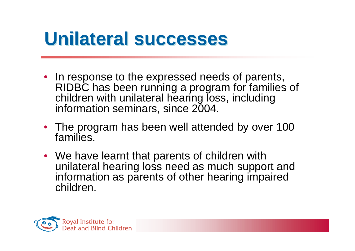#### **Unilateral successes**

- In response to the expressed needs of parents, RIDBC has been running a program for families of children with unilateral hearing loss, including information seminars, since 2004.
- The program has been well attended by over 100 families.
- We have learnt that parents of children with unilateral hearing loss need as much support and information as parents of other hearing impaired children.

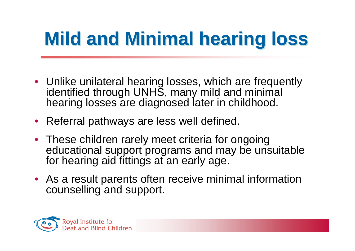# **Mild and Minimal hearing loss**

- Unlike unilateral hearing losses, which are frequently identified through UNHS, many mild and minimal hearing losses are diagnosed later in childhood.
- Referral pathways are less well defined.
- These children rarely meet criteria for ongoing educational support programs and may be unsuitable for hearing aid fittings at an early age.
- As a result parents often receive minimal information counselling and support.

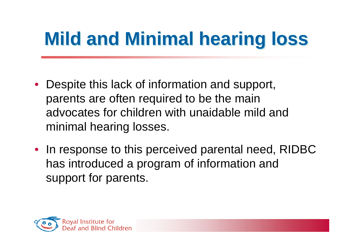# **Mild and Minimal hearing loss**

- Despite this lack of information and support, parents are often required to be the main advocates for children with unaidable mild and minimal hearing losses.
- In response to this perceived parental need, RIDBC has introduced a program of information and support for parents.

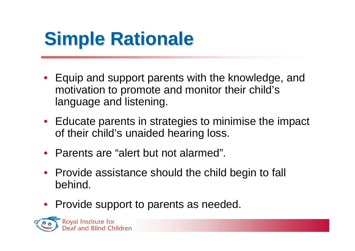## **Simple Rationale**

- Equip and support parents with the knowledge, and motivation to promote and monitor their child's language and listening.
- Educate parents in strategies to minimise the impact of their child's unaided hearing loss.
- Parents are "alert but not alarmed".
- Provide assistance should the child begin to fall behind.
- Provide support to parents as needed.

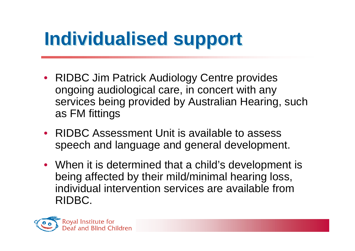## **Individualised support**

- RIDBC Jim Patrick Audiology Centre provides ongoing audiological care, in concert with any services being provided by Australian Hearing, such as FM fittings
- RIDBC Assessment Unit is available to assess speech and language and general development.
- When it is determined that a child's development is being affected by their mild/minimal hearing loss, individual intervention services are available from RIDBC.

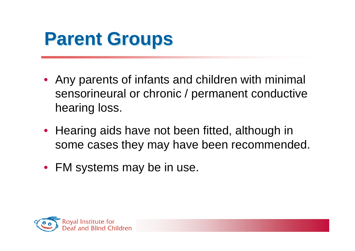#### **Parent Groups**

- Any parents of infants and children with minimal sensorineural or chronic / permanent conductive hearing loss.
- Hearing aids have not been fitted, although in some cases they may have been recommended.
- FM systems may be in use.

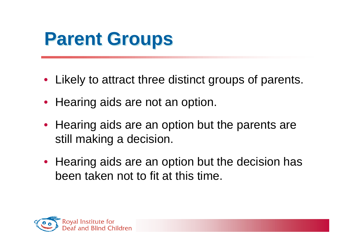#### **Parent Groups**

- Likely to attract three distinct groups of parents.
- Hearing aids are not an option.
- Hearing aids are an option but the parents are still making a decision.
- Hearing aids are an option but the decision has been taken not to fit at this time.

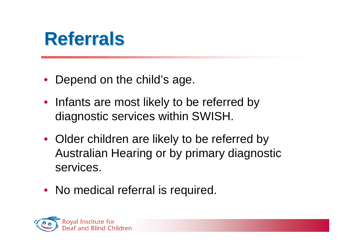#### **Referrals**

- Depend on the child's age.
- Infants are most likely to be referred by diagnostic services within SWISH.
- Older children are likely to be referred by Australian Hearing or by primary diagnostic services.
- No medical referral is required.

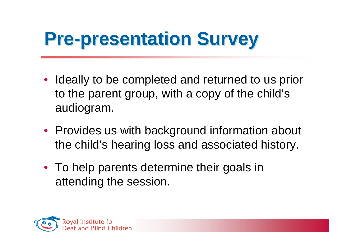### **Pre-presentation Survey**

- Ideally to be completed and returned to us prior to the parent group, with a copy of the child's audiogram.
- Provides us with background information about the child's hearing loss and associated history.
- To help parents determine their goals in attending the session.

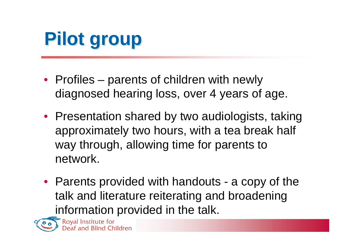## **Pilot group**

- Profiles parents of children with newly diagnosed hearing loss, over 4 years of age.
- Presentation shared by two audiologists, taking approximately two hours, with a tea break half way through, allowing time for parents to network.
- Parents provided with handouts a copy of the talk and literature reiterating and broadening information provided in the talk.



Royal Institute for<br>Deaf and Blind Children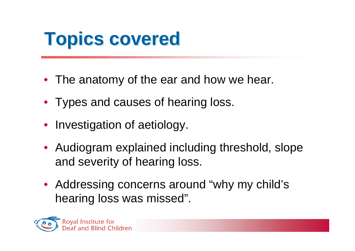- The anatomy of the ear and how we hear.
- Types and causes of hearing loss.
- Investigation of aetiology.
- Audiogram explained including threshold, slope and severity of hearing loss.
- Addressing concerns around "why my child's hearing loss was missed".

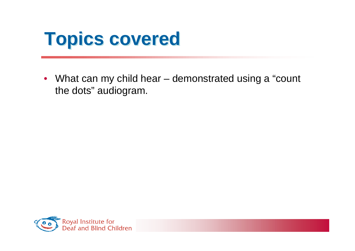

• What can my child hear – demonstrated using a "count the dots" audiogram.

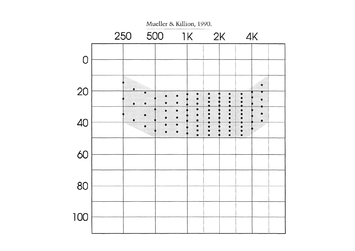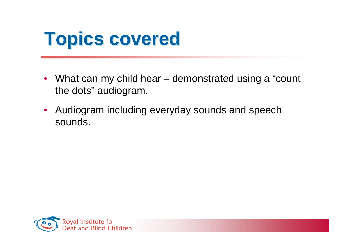- What can my child hear demonstrated using a "count" the dots" audiogram.
- Audiogram including everyday sounds and speech sounds.

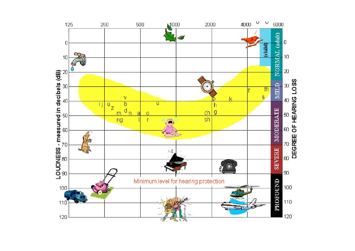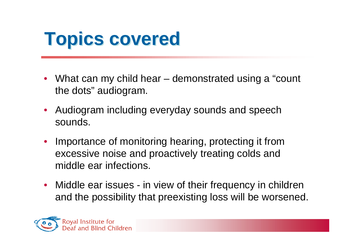- What can my child hear demonstrated using a "count" the dots" audiogram.
- Audiogram including everyday sounds and speech sounds.
- Importance of monitoring hearing, protecting it from excessive noise and proactively treating colds and middle ear infections.
- Middle ear issues in view of their frequency in children and the possibility that preexisting loss will be worsened.

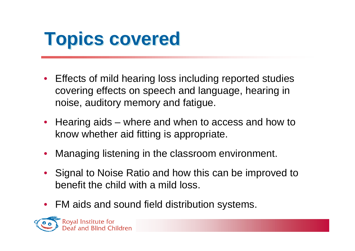- Effects of mild hearing loss including reported studies covering effects on speech and language, hearing in noise, auditory memory and fatigue.
- Hearing aids where and when to access and how to know whether aid fitting is appropriate.
- Managing listening in the classroom environment.
- Signal to Noise Ratio and how this can be improved to benefit the child with a mild loss.
- FM aids and sound field distribution systems.

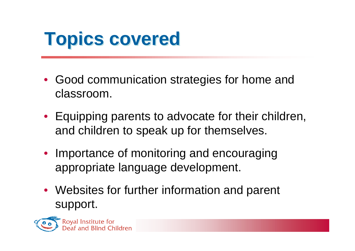- Good communication strategies for home and classroom.
- Equipping parents to advocate for their children, and children to speak up for themselves.
- Importance of monitoring and encouraging appropriate language development.
- Websites for further information and parent support.

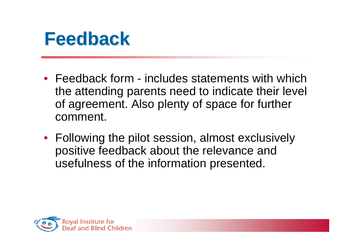

- Feedback form includes statements with which the attending parents need to indicate their level of agreement. Also plenty of space for further comment.
- Following the pilot session, almost exclusively positive feedback about the relevance and usefulness of the information presented.

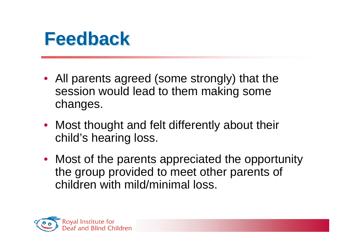#### **Feedback**

- All parents agreed (some strongly) that the session would lead to them making some changes.
- Most thought and felt differently about their child's hearing loss.
- Most of the parents appreciated the opportunity the group provided to meet other parents of children with mild/minimal loss.

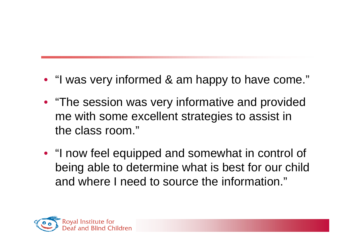- "I was very informed & am happy to have come."
- "The session was very informative and provided me with some excellent strategies to assist in the class room."
- "I now feel equipped and somewhat in control of being able to determine what is best for our child and where I need to source the information."

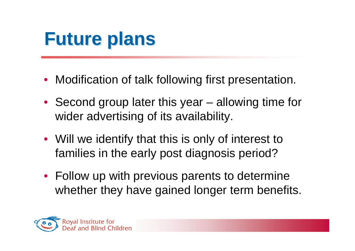#### **Future plans**

- Modification of talk following first presentation.
- Second group later this year allowing time for wider advertising of its availability.
- Will we identify that this is only of interest to families in the early post diagnosis period?
- Follow up with previous parents to determine whether they have gained longer term benefits.